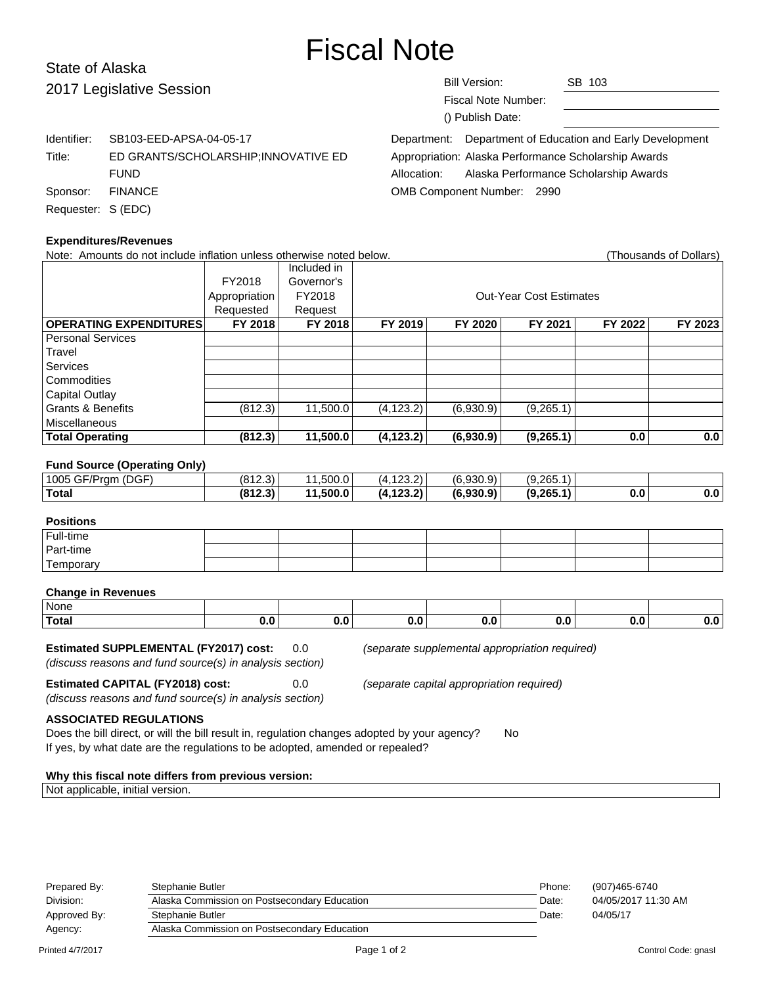# Fiscal Note

# State of Alaska 2017 Legislative Session

| Bill Version: |                     | SB 103                                                    |  |  |
|---------------|---------------------|-----------------------------------------------------------|--|--|
|               | Fiscal Note Number: |                                                           |  |  |
|               | () Publish Date:    |                                                           |  |  |
|               |                     | Department: Department of Education and Early Development |  |  |
|               |                     | Appropriation: Alaska Performance Scholarship Awards      |  |  |
|               |                     |                                                           |  |  |

Identifier: SB103-EED-APSA-04-05-17 Title: ED GRANTS/SCHOLARSHIP;INNOVATIVE ED FUND Sponsor: FINANCE Requester: S (EDC)

Allocation: Alaska Performance Scholarship Awards OMB Component Number: 2990

| <b>Expenditures/Revenues</b>                                                                       |                |                |            |                                                |            |         |                        |  |  |  |  |
|----------------------------------------------------------------------------------------------------|----------------|----------------|------------|------------------------------------------------|------------|---------|------------------------|--|--|--|--|
| Note: Amounts do not include inflation unless otherwise noted below.                               |                |                |            |                                                |            |         | (Thousands of Dollars) |  |  |  |  |
|                                                                                                    |                | Included in    |            |                                                |            |         |                        |  |  |  |  |
|                                                                                                    | FY2018         | Governor's     |            |                                                |            |         |                        |  |  |  |  |
|                                                                                                    | Appropriation  | FY2018         |            | <b>Out-Year Cost Estimates</b>                 |            |         |                        |  |  |  |  |
|                                                                                                    | Requested      | Request        |            |                                                |            |         |                        |  |  |  |  |
| <b>OPERATING EXPENDITURES</b>                                                                      | <b>FY 2018</b> | <b>FY 2018</b> | FY 2019    | FY 2020                                        | FY 2021    | FY 2022 | FY 2023                |  |  |  |  |
| <b>Personal Services</b>                                                                           |                |                |            |                                                |            |         |                        |  |  |  |  |
| Travel                                                                                             |                |                |            |                                                |            |         |                        |  |  |  |  |
| <b>Services</b>                                                                                    |                |                |            |                                                |            |         |                        |  |  |  |  |
| Commodities                                                                                        |                |                |            |                                                |            |         |                        |  |  |  |  |
| <b>Capital Outlay</b>                                                                              |                |                |            |                                                |            |         |                        |  |  |  |  |
| <b>Grants &amp; Benefits</b>                                                                       | (812.3)        | 11,500.0       | (4, 123.2) | (6,930.9)                                      | (9,265.1)  |         |                        |  |  |  |  |
| Miscellaneous                                                                                      |                |                |            |                                                |            |         |                        |  |  |  |  |
| <b>Total Operating</b>                                                                             | (812.3)        | 11,500.0       | (4, 123.2) | (6,930.9)                                      | (9, 265.1) | 0.0     | 0.0                    |  |  |  |  |
|                                                                                                    |                |                |            |                                                |            |         |                        |  |  |  |  |
| <b>Fund Source (Operating Only)</b>                                                                |                |                |            |                                                |            |         |                        |  |  |  |  |
| 1005 GF/Prgm (DGF)                                                                                 | (812.3)        | 11,500.0       | (4, 123.2) | (6,930.9)                                      | (9,265.1)  |         |                        |  |  |  |  |
| <b>Total</b>                                                                                       | (812.3)        | 11,500.0       | (4, 123.2) | (6,930.9)                                      | (9,265.1)  | 0.0     | 0.0                    |  |  |  |  |
|                                                                                                    |                |                |            |                                                |            |         |                        |  |  |  |  |
| <b>Positions</b>                                                                                   |                |                |            |                                                |            |         |                        |  |  |  |  |
| Full-time                                                                                          |                |                |            |                                                |            |         |                        |  |  |  |  |
| Part-time                                                                                          |                |                |            |                                                |            |         |                        |  |  |  |  |
| Temporary                                                                                          |                |                |            |                                                |            |         |                        |  |  |  |  |
|                                                                                                    |                |                |            |                                                |            |         |                        |  |  |  |  |
| <b>Change in Revenues</b>                                                                          |                |                |            |                                                |            |         |                        |  |  |  |  |
| <b>None</b>                                                                                        |                |                |            |                                                |            |         |                        |  |  |  |  |
| <b>Total</b>                                                                                       | 0.0            | 0.0            | 0.0        | 0.0                                            | 0.0        | 0.0     | 0.0                    |  |  |  |  |
|                                                                                                    |                |                |            |                                                |            |         |                        |  |  |  |  |
| <b>Estimated SUPPLEMENTAL (FY2017) cost:</b>                                                       |                | 0.0            |            | (separate supplemental appropriation required) |            |         |                        |  |  |  |  |
| (discuss reasons and fund source(s) in analysis section)                                           |                |                |            |                                                |            |         |                        |  |  |  |  |
| <b>Estimated CAPITAL (FY2018) cost:</b>                                                            |                | 0.0            |            | (separate capital appropriation required)      |            |         |                        |  |  |  |  |
| (discuss reasons and fund source(s) in analysis section)                                           |                |                |            |                                                |            |         |                        |  |  |  |  |
|                                                                                                    |                |                |            |                                                |            |         |                        |  |  |  |  |
| <b>ASSOCIATED REGULATIONS</b>                                                                      |                |                |            |                                                |            |         |                        |  |  |  |  |
| Does the bill direct, or will the bill result in, regulation changes adopted by your agency?<br>No |                |                |            |                                                |            |         |                        |  |  |  |  |
| If yes, by what date are the regulations to be adopted, amended or repealed?                       |                |                |            |                                                |            |         |                        |  |  |  |  |
| Why this fiscal note differs from previous version:                                                |                |                |            |                                                |            |         |                        |  |  |  |  |
| Not applicable, initial version.                                                                   |                |                |            |                                                |            |         |                        |  |  |  |  |
|                                                                                                    |                |                |            |                                                |            |         |                        |  |  |  |  |

| Prepared By: | Stephanie Butler                                      | Phone: | (907)465-6740       |
|--------------|-------------------------------------------------------|--------|---------------------|
| Division:    | Alaska Commission on Postsecondary Education<br>Date: |        | 04/05/2017 11:30 AM |
| Approved By: | Stephanie Butler                                      | Date:  | 04/05/17            |
| Agency:      | Alaska Commission on Postsecondary Education          |        |                     |
|              |                                                       |        |                     |